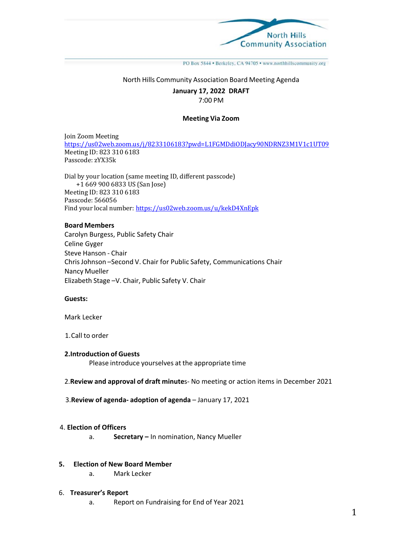

PO Box 5844 · Berkeley, CA 94705 · www.northhillscommunity.org

### North Hills Community Association Board Meeting Agenda

#### **January 17, 2022 DRAFT**

### 7:00 PM

# **Meeting Via Zoom**

Join Zoom Meeting https://us02web.zoom.us/j/8233106183?pwd=L1FGMDdiODJacy90NDRNZ3M1V1c1UT09 Meeting ID: 823 310 6183 Passcode: zYX35k

Dial by your location (same meeting ID, different passcode) +1 669 900 6833 US (San Jose) Meeting ID: 823 310 6183 Passcode: 566056 Find your local number: https://us02web.zoom.us/u/kekD4XnEpk

#### **Board Members**

Carolyn Burgess, Public Safety Chair Celine Gyger Steve Hanson ‐ Chair Chris Johnson –Second V. Chair for Public Safety, Communications Chair Nancy Mueller Elizabeth Stage –V. Chair, Public Safety V. Chair

#### **Guests:**

Mark Lecker

1.Call to order

# **2.Introduction of Guests**

Please introduce yourselves at the appropriate time

### 2.**Review and approval of draft minute**s‐ No meeting or action items in December 2021

3.**Review of agenda‐ adoption of agenda** – January 17, 2021

### 4. **Election of Officers**

a. **Secretary –** In nomination, Nancy Mueller

# **5. Election of New Board Member**

a. Mark Lecker

#### 6. **Treasurer's Report**

a. Report on Fundraising for End of Year 2021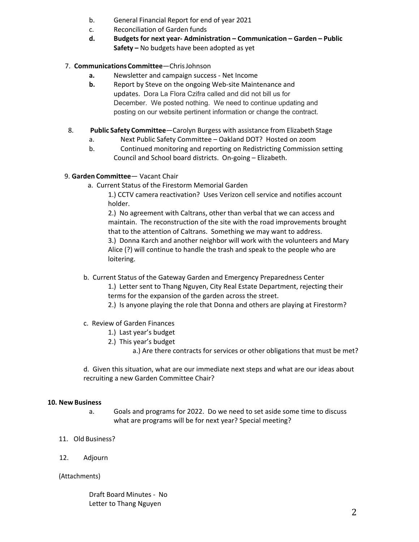- b. General Financial Report for end of year 2021
- c. Reconciliation of Garden funds
- **d. Budgets for next year‐ Administration Communication Garden Public Safety –** No budgets have been adopted as yet

# 7. **Communications Committee**—Chris Johnson

- **a.** Newsletter and campaign success ‐ Net Income
- **b.** Report by Steve on the ongoing Web-site Maintenance and updates. Dora La Flora Czifra called and did not bill us for December. We posted nothing. We need to continue updating and posting on our website pertinent information or change the contract.
- 8.  **Public Safety Committee**—Carolyn Burgess with assistance from Elizabeth Stage
	- a. Next Public Safety Committee Oakland DOT? Hosted on zoom
	- b. Continued monitoring and reporting on Redistricting Commission setting Council and School board districts. On‐going – Elizabeth.

# 9. **Garden Committee**— Vacant Chair

a. Current Status of the Firestorm Memorial Garden

1.) CCTV camera reactivation? Uses Verizon cell service and notifies account holder.

2.) No agreement with Caltrans, other than verbal that we can access and maintain. The reconstruction of the site with the road improvements brought that to the attention of Caltrans. Something we may want to address. 3.) Donna Karch and another neighbor will work with the volunteers and Mary

Alice (?) will continue to handle the trash and speak to the people who are loitering.

b. Current Status of the Gateway Garden and Emergency Preparedness Center

1.) Letter sent to Thang Nguyen, City Real Estate Department, rejecting their terms for the expansion of the garden across the street.

- 2.) Is anyone playing the role that Donna and others are playing at Firestorm?
- c. Review of Garden Finances
	- 1.) Last year's budget
	- 2.) This year's budget

a.) Are there contracts for services or other obligations that must be met?

d. Given this situation, what are our immediate next steps and what are our ideas about recruiting a new Garden Committee Chair?

# **10. New Business**

- a. Goals and programs for 2022. Do we need to set aside some time to discuss what are programs will be for next year? Special meeting?
- 11. Old Business?
- 12. Adjourn

# (Attachments)

Draft Board Minutes ‐ No Letter to Thang Nguyen